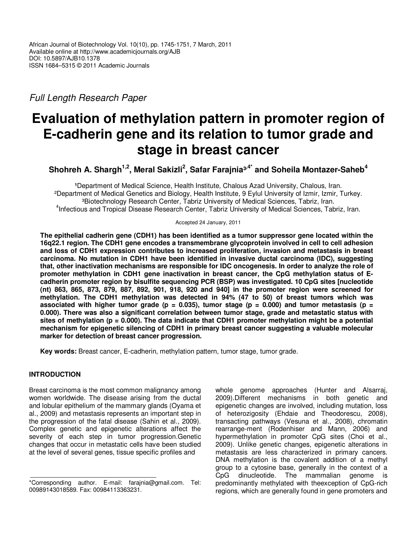Full Length Research Paper

# **Evaluation of methylation pattern in promoter region of E-cadherin gene and its relation to tumor grade and stage in breast cancer**

**Shohreh A. Shargh1,2, Meral Sakizli<sup>2</sup> , Safar Farajnia³,4\* and Soheila Montazer-Saheb<sup>4</sup>**

**¹**Department of Medical Science, Health Institute, Chalous Azad University, Chalous, Iran. ²Department of Medical Genetics and Biology, Health Institute, 9 Eylul University of Izmir, Izmir, Turkey. <sup>3</sup>Biotechnology Research Center, Tabriz University of Medical Sciences, Tabriz, Iran. 4 Infectious and Tropical Disease Research Center, Tabriz University of Medical Sciences, Tabriz, Iran.

Accepted 24 January, 2011

**The epithelial cadherin gene (CDH1) has been identified as a tumor suppressor gene located within the 16q22.1 region. The CDH1 gene encodes a transmembrane glycoprotein involved in cell to cell adhesion and loss of CDH1 expression contributes to increased proliferation, invasion and metastasis in breast carcinoma. No mutation in CDH1 have been identified in invasive ductal carcinoma (IDC), suggesting that, other inactivation mechanisms are responsible for IDC oncogenesis. In order to analyze the role of promoter methylation in CDH1 gene inactivation in breast cancer, the CpG methylation status of Ecadherin promoter region by bisulfite sequencing PCR (BSP) was investigated. 10 CpG sites [nucleotide (nt) 863, 865, 873, 879, 887, 892, 901, 918, 920 and 940] in the promoter region were screened for methylation. The CDH1 methylation was detected in 94% (47 to 50) of breast tumors which was**  associated with higher tumor grade ( $p = 0.035$ ), tumor stage ( $p = 0.000$ ) and tumor metastasis ( $p =$ **0.000). There was also a significant correlation between tumor stage, grade and metastatic status with sites of methylation (p = 0.000). The data indicate that CDH1 promoter methylation might be a potential mechanism for epigenetic silencing of CDH1 in primary breast cancer suggesting a valuable molecular marker for detection of breast cancer progression.** 

**Key words:** Breast cancer, E-cadherin, methylation pattern, tumor stage, tumor grade.

# **INTRODUCTION**

Breast carcinoma is the most common malignancy among women worldwide. The disease arising from the ductal and lobular epithelium of the mammary glands (Oyama et al., 2009) and metastasis represents an important step in the progression of the fatal disease (Sahin et al., 2009). Complex genetic and epigenetic alterations affect the severity of each step in tumor progression. Genetic changes that occur in metastatic cells have been studied at the level of several genes, tissue specific profiles and

whole genome approaches (Hunter and Alsarraj, 2009).Different mechanisms in both genetic and epigenetic changes are involved, including mutation, loss of heterozigosity (Ehdaie and Theodorescu, 2008), transacting pathways (Vesuna et al., 2008), chromatin rearrange-ment (Rodenhiser and Mann, 2006) and hypermethylation in promoter CpG sites (Choi et al., 2009). Unlike genetic changes, epigenetic alterations in metastasis are less characterized in primary cancers. DNA methylation is the covalent addition of a methyl group to a cytosine base, generally in the context of a CpG dinucleotide. The mammalian genome is predominantly methylated with theexception of CpG-rich regions, which are generally found in gene promoters and

<sup>\*</sup>Corresponding author. E-mail: farajnia@gmail.com. Tel: 00989143018589. Fax: 00984113363231.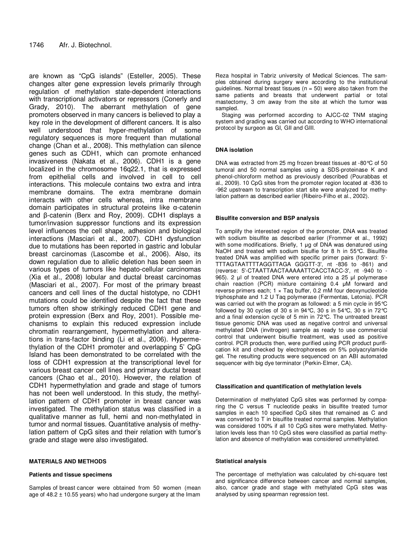are known as "CpG islands" (Esteller, 2005). These changes alter gene expression levels primarily through regulation of methylation state-dependent interactions with transcriptional activators or repressors (Conerly and Grady, 2010). The aberrant methylation of gene promoters observed in many cancers is believed to play a key role in the development of different cancers. It is also well understood that hyper-methylation of some regulatory sequences is more frequent than mutational change (Chan et al., 2008). This methylation can silence genes such as CDH1, which can promote enhanced invasiveness (Nakata et al., 2006). CDH1 is a gene localized in the chromosome 16q22.1, that is expressed from epithelial cells and involved in cell to cell interactions. This molecule contains two extra and intra membrane domains. The extra membrane domain interacts with other cells whereas, intra membrane domain participates in structural proteins like α-catenin and β-catenin (Berx and Roy, 2009). CDH1 displays a tumor/invasion suppressor functions and its expression level influences the cell shape, adhesion and biological interactions (Masciari et al., 2007). CDH1 dysfunction due to mutations has been reported in gastric and lobular breast carcinomas (Lascombe et al., 2006). Also, its down regulation due to allelic deletion has been seen in various types of tumors like hepato-cellular carcinomas (Xia et al., 2008) lobular and ductal breast carcinomas (Masciari et al., 2007). For most of the primary breast cancers and cell lines of the ductal histotype, no CDH1 mutations could be identified despite the fact that these tumors often show strikingly reduced CDH1 gene and protein expression (Berx and Roy, 2001). Possible mechanisms to explain this reduced expression include chromatin rearrangement, hypermethylation and alterations in trans-factor binding (Li et al., 2006). Hypermethylation of the CDH1 promoter and overlapping 5' CpG Island has been demonstrated to be correlated with the loss of CDH1 expression at the transcriptional level for various breast cancer cell lines and primary ductal breast cancers (Chao et al., 2010). However, the relation of CDH1 hypermethylation and grade and stage of tumors has not been well understood. In this study, the methyllation pattern of CDH1 promoter in breast cancer was investigated. The methylation status was classified in a qualitative manner as full, hemi and non-methylated in tumor and normal tissues. Quantitative analysis of methylation pattern of CpG sites and their relation with tumor's grade and stage were also investigated.

#### **MATERIALS AND METHODS**

#### **Patients and tissue specimens**

Samples of breast cancer were obtained from 50 women (mean age of  $48.2 \pm 10.55$  years) who had undergone surgery at the Imam

Reza hospital in Tabriz university of Medical Sciences. The samples obtained during surgery were according to the institutional guidelines. Normal breast tissues ( $n = 50$ ) were also taken from the same patients and breasts that underwent partial or total mastectomy, 3 cm away from the site at which the tumor was sampled.

Staging was performed according to AJCC-02 TNM staging system and grading was carried out according to WHO international protocol by surgeon as GI, GII and GIII.

#### **DNA isolation**

DNA was extracted from 25 mg frozen breast tissues at -80°C of 50 tumoral and 50 normal samples using a SDS-proteinase K and phenol-chloroform method as previously described (Pourabbas et al., 2009). 10 CpG sites from the promoter region located at -836 to -962 upstream to transcription start site were analyzed for methylation pattern as described earlier (Ribeiro-Filho et al., 2002).

#### **Bisulfite conversion and BSP analysis**

To amplify the interested region of the promoter, DNA was treated with sodium bisulfite as described earlier (Frommer et al., 1992) with some modifications. Briefly, 1 µg of DNA was denatured using NaOH and treated with sodium bisulfie for 8 h in 55°C. Bisulfite treated DNA was amplified with specific primer pairs (forward: 5'- TTTAGTAATTTTAGGTTAGA GGGTT-3', nt -836 to -861) and (reverse: 5'-CTAATTAACTAAAAATTCACCTACC-3', nt -940 to - 965). 2 µl of treated DNA were entered into a 25 µl polymerase chain reaction (PCR) mixture containing 0.4 µM forward and reverse primers each;  $1 \times$  Taq buffer, 0.2 mM four deoxynucleotide triphosphate and 1.2 U Taq polymerase (Fermentas, Letonia). PCR was carried out with the program as followed: a 5 min cycle in 95°C followed by 30 cycles of 30 s in 94°C, 30 s in 54°C, 30 s in 72°C and a final extension cycle of 5 min in 72°C. The untreated breast tissue genomic DNA was used as negative control and universal methylated DNA (invitrogen) sample as ready to use commercial control that underwent bisulfie treatment, was used as positive control. PCR products then, were purified using PCR product purification kit and checked by electrophoreses on 5% polyacrylamide gel. The resulting products were sequenced on an ABI automated sequencer with big dye terminator (Perkin-Elmer, CA).

#### **Classification and quantification of methylation levels**

Determination of methylated CpG sites was performed by comparing the C versus T nucleotide peaks in bisulfite treated tumor samples in each 10 specified CpG sites that remained as C and was converted to T in bisulfite treated normal samples. Methylation was considered 100% if all 10 CpG sites were methylated. Methylation levels less than 10 CpG sites were classified as partial methylation and absence of methylation was considered unmethylated.

#### **Statistical analysis**

The percentage of methylation was calculated by chi-square test and significance difference between cancer and normal samples, also, cancer grade and stage with methylated CpG sites was analysed by using spearman regression test.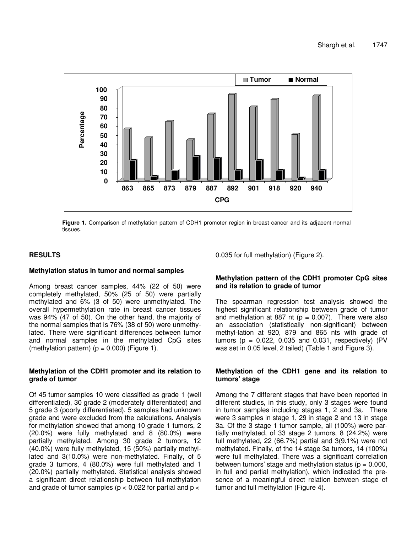

**Figure 1.** Comparison of methylation pattern of CDH1 promoter region in breast cancer and its adjacent normal tissues.

## **RESULTS**

## **Methylation status in tumor and normal samples**

Among breast cancer samples, 44% (22 of 50) were completely methylated, 50% (25 of 50) were partially methylated and 6% (3 of 50) were unmethylated. The overall hypermethylation rate in breast cancer tissues was 94% (47 of 50). On the other hand, the majority of the normal samples that is 76% (38 of 50) were unmethylated. There were significant differences between tumor and normal samples in the methylated CpG sites (methylation pattern)  $(p = 0.000)$  (Figure 1).

## **Methylation of the CDH1 promoter and its relation to grade of tumor**

Of 45 tumor samples 10 were classified as grade 1 (well differentiated), 30 grade 2 (moderately differentiated) and 5 grade 3 (poorly differentiated). 5 samples had unknown grade and were excluded from the calculations. Analysis for methylation showed that among 10 grade 1 tumors, 2 (20.0%) were fully methylated and 8 (80.0%) were partially methylated. Among 30 grade 2 tumors, 12 (40.0%) were fully methylated, 15 (50%) partially methyllated and 3(10.0%) were non-methylated. Finally, of 5 grade 3 tumors, 4 (80.0%) were full methylated and 1 (20.0%) partially methylated. Statistical analysis showed a significant direct relationship between full-methylation and grade of tumor samples ( $p < 0.022$  for partial and  $p <$ 

0.035 for full methylation) (Figure 2).

## **Methylation pattern of the CDH1 promoter CpG sites and its relation to grade of tumor**

The spearman regression test analysis showed the highest significant relationship between grade of tumor and methylation at 887 nt ( $p = 0.007$ ). There were also an association (statistically non-significant) between methyl-lation at 920, 879 and 865 nts with grade of tumors ( $p = 0.022$ , 0.035 and 0.031, respectively) (PV was set in 0.05 level, 2 tailed) (Table 1 and Figure 3).

## **Methylation of the CDH1 gene and its relation to tumors' stage**

Among the 7 different stages that have been reported in different studies, in this study, only 3 stages were found in tumor samples including stages 1, 2 and 3a. There were 3 samples in stage 1, 29 in stage 2 and 13 in stage 3a. Of the 3 stage 1 tumor sample, all (100%) were partially methylated, of 33 stage 2 tumors, 8 (24.2%) were full methylated, 22 (66.7%) partial and 3(9.1%) were not methylated. Finally, of the 14 stage 3a tumors, 14 (100%) were full methylated. There was a significant correlation between tumors' stage and methylation status ( $p = 0.000$ , in full and partial methylation), which indicated the presence of a meaningful direct relation between stage of tumor and full methylation (Figure 4).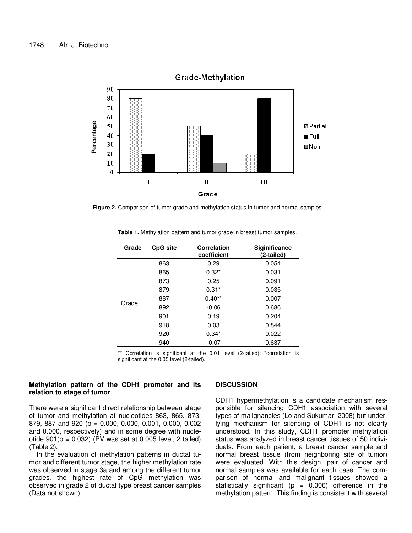

**Grade-Methylation** 

**Figure 2.** Comparison of tumor grade and methylation status in tumor and normal samples.

| Grade | <b>CpG site</b> | <b>Correlation</b><br>coefficient | <b>Siginificance</b><br>(2-tailed) |
|-------|-----------------|-----------------------------------|------------------------------------|
| Grade | 863             | 0.29                              | 0.054                              |
|       | 865             | $0.32*$                           | 0.031                              |
|       | 873             | 0.25                              | 0.091                              |
|       | 879             | $0.31*$                           | 0.035                              |
|       | 887             | $0.40**$                          | 0.007                              |
|       | 892             | $-0.06$                           | 0.686                              |
|       | 901             | 0.19                              | 0.204                              |
|       | 918             | 0.03                              | 0.844                              |
|       | 920             | $0.34*$                           | 0.022                              |
|       | 940             | $-0.07$                           | 0.637                              |

**Table 1.** Methylation pattern and tumor grade in breast tumor samples.

\*\* Correlation is significant at the 0.01 level (2-tailed); \*correlation is significant at the 0.05 level (2-tailed).

### **Methylation pattern of the CDH1 promoter and its relation to stage of tumor**

There were a significant direct relationship between stage of tumor and methylation at nucleotides 863, 865, 873, 879, 887 and 920 (p = 0.000, 0.000, 0.001, 0.000, 0.002 and 0.000, respectively) and in some degree with nucleotide  $901(p = 0.032)$  (PV was set at 0.005 level, 2 tailed) (Table 2).

In the evaluation of methylation patterns in ductal tumor and different tumor stage, the higher methylation rate was observed in stage 3a and among the different tumor grades, the highest rate of CpG methylation was observed in grade 2 of ductal type breast cancer samples (Data not shown).

#### **DISCUSSION**

CDH1 hypermethylation is a candidate mechanism responsible for silencing CDH1 association with several types of malignancies (Lo and Sukumar, 2008) but underlying mechanism for silencing of CDH1 is not clearly understood. In this study, CDH1 promoter methylation status was analyzed in breast cancer tissues of 50 individuals. From each patient, a breast cancer sample and normal breast tissue (from neighboring site of tumor) were evaluated. With this design, pair of cancer and normal samples was available for each case. The comparison of normal and malignant tissues showed a statistically significant ( $p = 0.006$ ) difference in the methylation pattern. This finding is consistent with several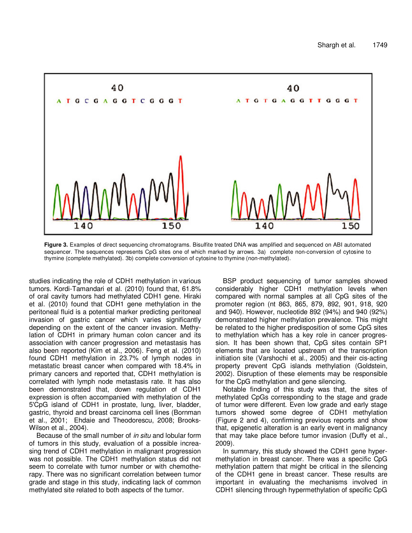

**Figure 3.** Examples of direct sequencing chromatograms. Bisulfite treated DNA was amplified and sequenced on ABI automated sequencer. The sequences represents CpG sites one of which marked by arrows. 3a) complete non-conversion of cytosine to thymine (complete methylated). 3b) complete conversion of cytosine to thymine (non-methylated).

studies indicating the role of CDH1 methylation in various tumors. Kordi-Tamandari et al. (2010) found that, 61.8% of oral cavity tumors had methylated CDH1 gene. Hiraki et al. (2010) found that CDH1 gene methylation in the peritoneal fluid is a potential marker predicting peritoneal invasion of gastric cancer which varies significantly depending on the extent of the cancer invasion. Methylation of CDH1 in primary human colon cancer and its association with cancer progression and metastasis has also been reported (Kim et al., 2006). Feng et al. (2010) found CDH1 methylation in 23.7% of lymph nodes in metastatic breast cancer when compared with 18.4% in primary cancers and reported that, CDH1 methylation is correlated with lymph node metastasis rate. It has also been demonstrated that, down regulation of CDH1 expression is often accompanied with methylation of the 5'CpG island of CDH1 in prostate, lung, liver, bladder, gastric, thyroid and breast carcinoma cell lines (Bornman et al., 2001; Ehdaie and Theodorescu, 2008; Brooks-Wilson et al., 2004).

Because of the small number of in situ and lobular form of tumors in this study, evaluation of a possible increasing trend of CDH1 methylation in malignant progression was not possible. The CDH1 methylation status did not seem to correlate with tumor number or with chemotherapy. There was no significant correlation between tumor grade and stage in this study, indicating lack of common methylated site related to both aspects of the tumor.

BSP product sequencing of tumor samples showed considerably higher CDH1 methylation levels when compared with normal samples at all CpG sites of the promoter region (nt 863, 865, 879, 892, 901, 918, 920 and 940). However, nucleotide 892 (94%) and 940 (92%) demonstrated higher methylation prevalence. This might be related to the higher predisposition of some CpG sites to methylation which has a key role in cancer progression. It has been shown that, CpG sites contain SP1 elements that are located upstream of the transcription initiation site (Varshochi et al., 2005) and their cis-acting property prevent CpG islands methylation (Goldstein, 2002). Disruption of these elements may be responsible for the CpG methylation and gene silencing.

Notable finding of this study was that, the sites of methylated CpGs corresponding to the stage and grade of tumor were different. Even low grade and early stage tumors showed some degree of CDH1 methylation (Figure 2 and 4), confirming previous reports and show that, epigenetic alteration is an early event in malignancy that may take place before tumor invasion (Duffy et al., 2009).

In summary, this study showed the CDH1 gene hypermethylation in breast cancer. There was a specific CpG methylation pattern that might be critical in the silencing of the CDH1 gene in breast cancer. These results are important in evaluating the mechanisms involved in CDH1 silencing through hypermethylation of specific CpG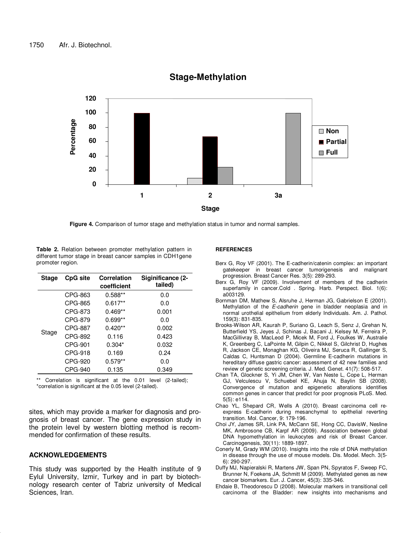

# **Stage-Methylation**

**Figure 4.** Comparison of tumor stage and methylation status in tumor and normal samples.

**Table 2.** Relation between promoter methylation pattern in different tumor stage in breast cancer samples in CDH1gene promoter region.

| <b>Stage</b> | <b>CpG site</b> | Correlation<br>coefficient | Siginificance (2-<br>tailed) |
|--------------|-----------------|----------------------------|------------------------------|
| Stage        | CPG-863         | $0.588**$                  | 0.0                          |
|              | CPG-865         | $0.617**$                  | 0.0                          |
|              | CPG-873         | $0.469**$                  | 0.001                        |
|              | CPG-879         | $0.699**$                  | 0.0                          |
|              | CPG-887         | $0.420**$                  | 0.002                        |
|              | CPG-892         | 0.116                      | 0.423                        |
|              | CPG-901         | $0.304*$                   | 0.032                        |
|              | CPG-918         | 0.169                      | 0.24                         |
|              | CPG-920         | $0.579**$                  | 0.0                          |
|              | CPG-940         | 0.135                      | 0.349                        |

\*\* Correlation is significant at the 0.01 level (2-tailed); \*correlation is significant at the 0.05 level (2-tailed).

sites, which may provide a marker for diagnosis and prognosis of breast cancer. The gene expression study in the protein level by western blotting method is recommended for confirmation of these results.

### **ACKNOWLEDGEMENTS**

This study was supported by the Health institute of 9 Eylul University, Izmir, Turkey and in part by biotechnology research center of Tabriz university of Medical Sciences, Iran.

#### **REFERENCES**

- Berx G, Roy VF (2001). The E-cadherin/catenin complex: an important gatekeeper in breast cancer tumorigenesis and malignant progression. Breast Cancer Res. 3(5): 289-293.
- Berx G, Roy VF (2009). Involvement of members of the cadherin superfamily in cancer.Cold . Spring. Harb. Perspect. Biol. 1(6): a003129.
- Bornman DM, Mathew S, Alsruhe J, Herman JG, Gabrielson E (2001). Methylation of the E-cadherin gene in bladder neoplasia and in normal urothelial epithelium from elderly Individuals. Am. J. Pathol. 159(3): 831-835.
- Brooks-Wilson AR, Kaurah P, Suriano G, Leach S, Senz J, Grehan N, Butterfield YS, Jeyes J, Schinas J, Bacani J, Kelsey M, Ferreira P, MacGillivray B, MacLeod P, Micek M, Ford J, Foulkes W, Australie K, Greenberg C, LaPointe M, Gilpin C, Nikkel S, Gilchrist D, Hughes R, Jackson CE, Monaghan KG, Oliveira MJ, Seruca R, Gallinger S, Caldas C, Huntsman D (2004). Germline E-cadherin mutations in hereditary diffuse gastric cancer: assessment of 42 new families and review of genetic screening criteria. J. Med. Genet. 41(7): 508-517.
- Chan TA, Glockner S, Yi JM, Chen W, Van Neste L, Cope L, Herman GJ, Velculescu V, Schuebel KE, Ahuja N, Baylin SB (2008). Convergence of mutation and epigenetic alterations identifies common genes in cancer that predict for poor prognosis PLoS. Med. 5(5): e114.
- Chao YL, Shepard CR, Wells A (2010). Breast carcinoma cell reexpress E-cadherin during mesanchymal to epithelial reverting transition. Mol. Cancer, 9: 179-196.
- Choi JY, James SR, Link PA, McCann SE, Hong CC, DavisW, Nesline MK, Ambrosone CB, Karpf AR (2009). Association between global DNA hypomethylation in leukocytes and risk of Breast Cancer. Carcinogenesis, 30(11): 1889-1897.
- Conerly M, Grady WM (2010). Insights into the role of DNA methylation in disease through the use of mouse models. Dis. Model. Mech. 3(5- 6): 290-297.
- Duffy MJ, Napieralski R, Martens JW, Span PN, Spyratos F, Sweep FC, Brunner N, Foekens JA, Schmitt M (2009). Methylated genes as new cancer biomarkers. Eur. J. Cancer, 45(3): 335-346.
- Ehdaie B, Theodorescu D (2008). Molecular markers in transitional cell carcinoma of the Bladder: new insights into mechanisms and